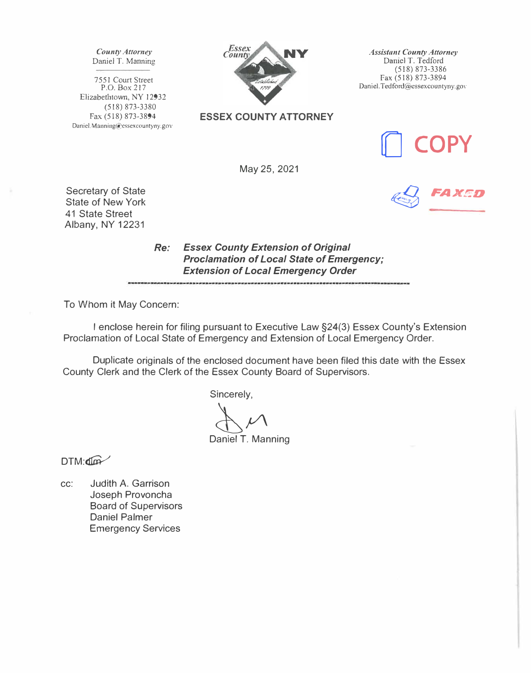*County Attorney*  Daniel T. Manning

7551 Court Street P.O. Box 217 Elizabethtown, NY 12932 (518) 873-3380 Fax (518) 873-3894 Daniel.Manning@essexcountyny.gov



**ESSEX COUNTY ATTORNEY** 

*Assistant County Attorney*  Daniel T. Tedford (518) 873-3386 Fax (518) 873-3894 Daniel.Tedford@essexcountyny.gov

**[) COPY** 

*� FAXED* 

May 25, 2021

Secretary of State State of New York 41 State Street Albany, NY 12231

> *Re: Essex County Extension of Original Proclamation of Local State of Emergency; Extension of Local Emergency Order*

To Whom it May Concern:

I enclose herein for filing pursuant to Executive Law §24(3) Essex County's Extension Proclamation of Local State of Emergency and Extension of Local Emergency Order.

Duplicate originals of the enclosed document have been filed this date with the Essex County Clerk and the Clerk of the Essex County Board of Supervisors.

Sincerely,

 $\bigoplus_{\alpha \in \mathbb{N}} \mathcal{V}$ Daniel T. Manning

 $DTM:$ 

cc: Judith A. Garrison Joseph Provoncha Board of Supervisors Daniel Palmer Emergency Services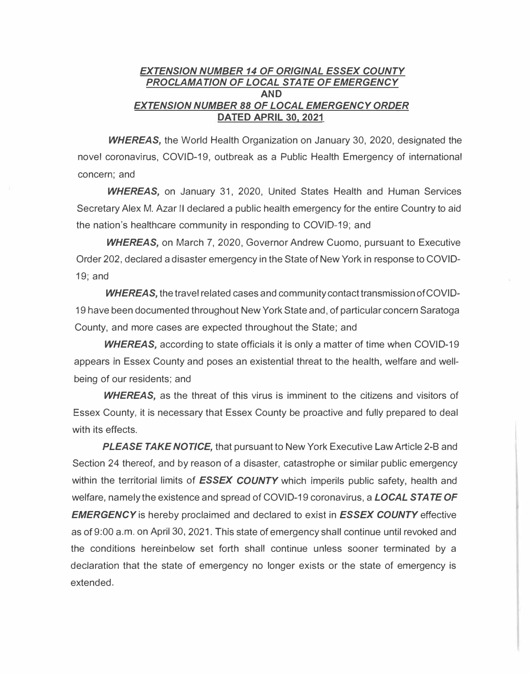## *EXTENSION NUMBER 14 OF ORIGINAL ESSEX COUNTY PROCLAMATION OF LOCAL STATE OF EMERGENCY*  **AND**  *EXTENSION NUMBER 88 OF LOCAL EMERGENCY ORDER*  **DATED APRIL 30, 2021**

*WHEREAS,* the World Health Organization on January 30, 2020, designated the novel coronavirus, COVID-19, outbreak as a Public Health Emergency of international concern; and

*WHEREAS,* on January 31, 2020, United States Health and Human Services Secretary Alex M. Azar II declared a public health emergency for the entire Country to aid the nation's healthcare community in responding to COVID-19; and

*WHEREAS,* on March 7, 2020, Governor Andrew Cuomo, pursuant to Executive Order 202, declared a disaster emergency in the State of New York in response to COVID-19; and

*WHEREAS,* the travel related cases and community contact transmission of COVID-19 have been documented throughout New York State and, of particular concern Saratoga County, and more cases are expected throughout the State; and

*WHEREAS,* according to state officials it is only a matter of time when COVID-19 appears in Essex County and poses an existential threat to the health, welfare and wellbeing of our residents; and

*WHEREAS,* as the threat of this virus is imminent to the citizens and visitors of Essex County, it is necessary that Essex County be proactive and fully prepared to deal with its effects.

*PLEASE TAKE NOTICE,* that pursuant to New York Executive Law Article 2-B and Section 24 thereof, and by reason of a disaster, catastrophe or similar public emergency within the territorial limits of **ESSEX COUNTY** which imperils public safety, health and welfare, namely the existence and spread of COVID-19 coronavirus, a *LOCAL STATE OF EMERGENCY* is hereby proclaimed and declared to exist in *ESSEX COUNTY* effective as of 9:00 a.m. on April 30, 2021. This state of emergency shall continue until revoked and the conditions hereinbelow set forth shall continue unless sooner terminated by a declaration that the state of emergency no longer exists or the state of emergency is extended.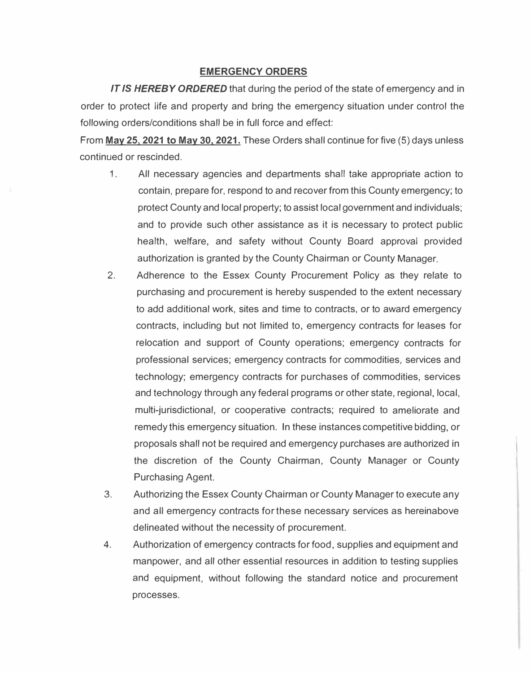## **EMERGENCY ORDERS**

*IT IS HEREBY ORDERED* that during the period of the state of emergency and in order to protect life and property and bring the emergency situation under control the following orders/conditions shall be in full force and effect:

From **May 25. 2021 to May 30, 2021.** These Orders shall continue for five (5) days unless continued or rescinded.

- 1. All necessary agencies and departments shall take appropriate action to contain, prepare for, respond to and recover from this County emergency; to protect County and local property; to assist local government and individuals; and to provide such other assistance as it is necessary to protect public health, welfare, and safety without County Board approval provided authorization is granted by the County Chairman or County Manager.
- 2. Adherence to the Essex County Procurement Policy as they relate to purchasing and procurement is hereby suspended to the extent necessary to add additional work, sites and time to contracts, or to award emergency contracts, including but not limited to, emergency contracts for leases for relocation and support of County operations; emergency contracts for professional services; emergency contracts for commodities, services and technology; emergency contracts for purchases of commodities, services and technology through any federal programs or other state, regional, local, multi-jurisdictional, or cooperative contracts; required to ameliorate and remedy this emergency situation. In these instances competitive bidding, or proposals shall not be required and emergency purchases are authorized in the discretion of the County Chairman, County Manager or County Purchasing Agent.
- 3. Authorizing the Essex County Chairman or County Manager to execute any and all emergency contracts for these necessary services as hereinabove delineated without the necessity of procurement.
- 4. Authorization of emergency contracts for food, supplies and equipment and manpower, and all other essential resources in addition to testing supplies and equipment, without following the standard notice and procurement processes.